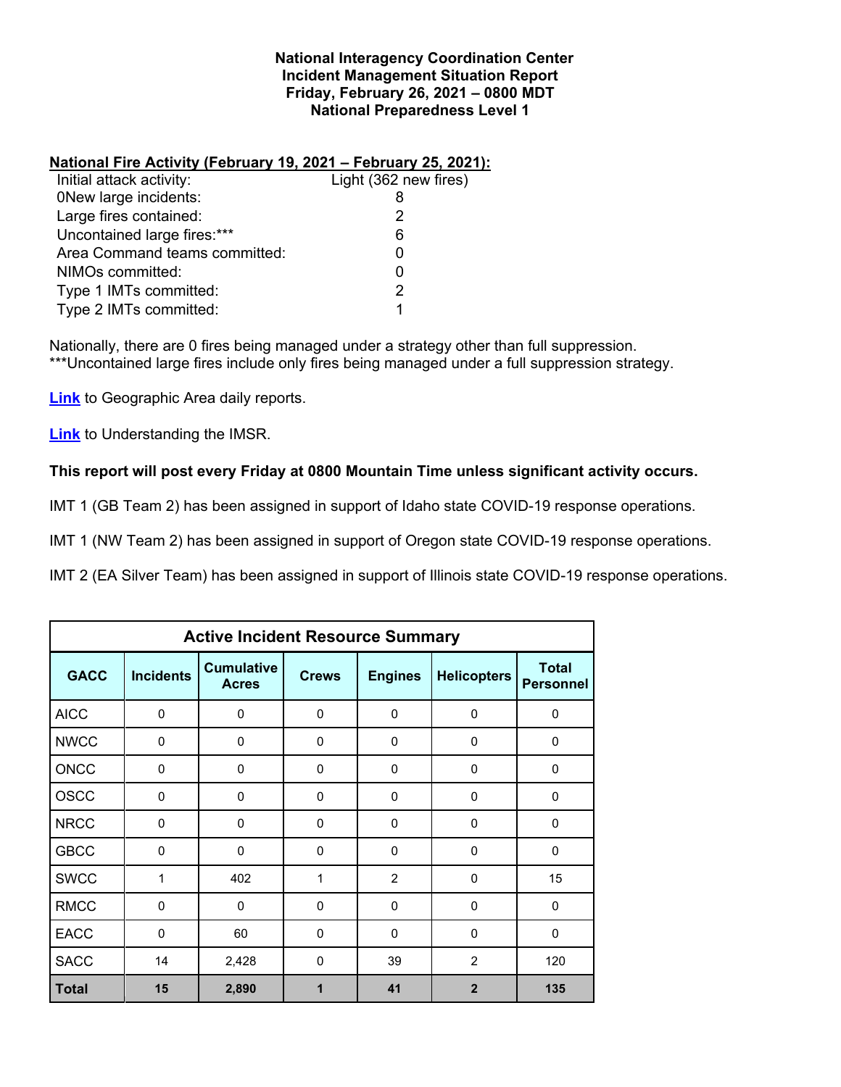### **National Interagency Coordination Center Incident Management Situation Report Friday, February 26, 2021 – 0800 MDT National Preparedness Level 1**

## **National Fire Activity (February 19, 2021 – February 25, 2021):**

| Initial attack activity:      | Light (362 new fires) |
|-------------------------------|-----------------------|
| <b>ONew large incidents:</b>  |                       |
| Large fires contained:        | 2                     |
| Uncontained large fires:***   | 6                     |
| Area Command teams committed: | O                     |
| NIMOs committed:              | 0                     |
| Type 1 IMTs committed:        | 2                     |
| Type 2 IMTs committed:        | 1                     |
|                               |                       |

Nationally, there are 0 fires being managed under a strategy other than full suppression. \*\*\*Uncontained large fires include only fires being managed under a full suppression strategy.

**[Link](http://www.nifc.gov/nicc/predictive/statelinks.htm)** to Geographic Area daily reports.

**[Link](https://www.predictiveservices.nifc.gov/intelligence/Understanding%20the%20IMSR%202019.pdf)** to Understanding the IMSR.

## **This report will post every Friday at 0800 Mountain Time unless significant activity occurs.**

IMT 1 (GB Team 2) has been assigned in support of Idaho state COVID-19 response operations.

IMT 1 (NW Team 2) has been assigned in support of Oregon state COVID-19 response operations.

IMT 2 (EA Silver Team) has been assigned in support of Illinois state COVID-19 response operations.

| <b>Active Incident Resource Summary</b> |                  |                                   |              |                |                    |                                  |  |  |  |
|-----------------------------------------|------------------|-----------------------------------|--------------|----------------|--------------------|----------------------------------|--|--|--|
| <b>GACC</b>                             | <b>Incidents</b> | <b>Cumulative</b><br><b>Acres</b> | <b>Crews</b> | <b>Engines</b> | <b>Helicopters</b> | <b>Total</b><br><b>Personnel</b> |  |  |  |
| <b>AICC</b>                             | $\Omega$         | $\mathbf 0$                       | $\Omega$     | $\mathbf{0}$   | $\Omega$           | $\Omega$                         |  |  |  |
| <b>NWCC</b>                             | $\Omega$         | $\mathbf 0$                       | $\Omega$     | $\mathbf{0}$   | $\mathbf 0$        | $\Omega$                         |  |  |  |
| <b>ONCC</b>                             | 0                | $\mathbf 0$                       | 0            | 0              | $\mathbf 0$        | 0                                |  |  |  |
| <b>OSCC</b>                             | $\Omega$         | $\mathbf 0$                       | $\Omega$     | $\mathbf{0}$   | $\mathbf 0$        | $\Omega$                         |  |  |  |
| <b>NRCC</b>                             | $\Omega$         | $\mathbf 0$                       | $\Omega$     | $\mathbf 0$    | $\mathbf 0$        | $\mathbf 0$                      |  |  |  |
| <b>GBCC</b>                             | $\mathbf 0$      | 0                                 | 0            | 0              | $\mathbf 0$        | $\mathbf 0$                      |  |  |  |
| <b>SWCC</b>                             | 1                | 402                               | 1            | 2              | $\mathbf 0$        | 15                               |  |  |  |
| <b>RMCC</b>                             | $\mathbf{0}$     | $\mathbf 0$                       | 0            | $\mathbf 0$    | $\mathbf 0$        | 0                                |  |  |  |
| <b>EACC</b>                             | 0                | 60                                | 0            | $\Omega$       | $\mathbf 0$        | $\mathbf 0$                      |  |  |  |
| <b>SACC</b>                             | 14               | 2,428                             | $\mathbf{0}$ | 39             | $\overline{2}$     | 120                              |  |  |  |
| <b>Total</b>                            | 15               | 2,890                             |              | 41             | $\overline{2}$     | 135                              |  |  |  |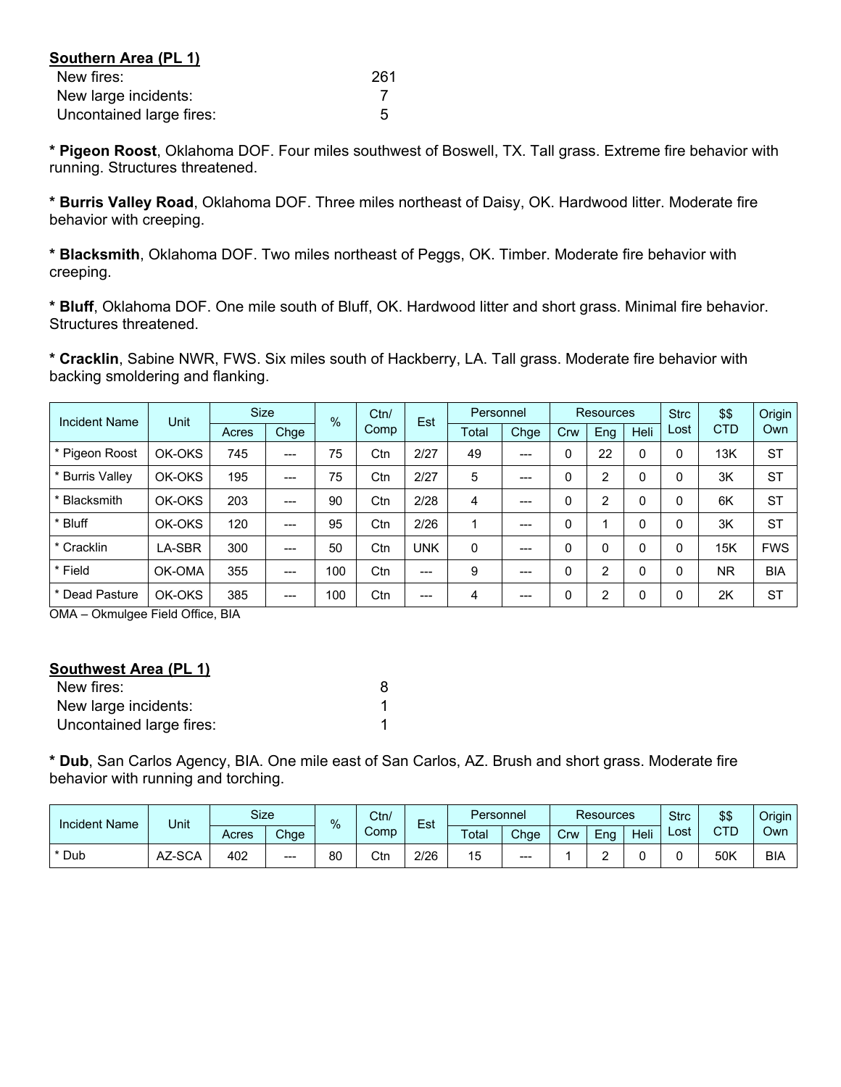| Southern Area (PL 1)     |     |
|--------------------------|-----|
| New fires:               | 261 |
| New large incidents:     |     |
| Uncontained large fires: | 5   |

**\* Pigeon Roost**, Oklahoma DOF. Four miles southwest of Boswell, TX. Tall grass. Extreme fire behavior with running. Structures threatened.

**\* Burris Valley Road**, Oklahoma DOF. Three miles northeast of Daisy, OK. Hardwood litter. Moderate fire behavior with creeping.

**\* Blacksmith**, Oklahoma DOF. Two miles northeast of Peggs, OK. Timber. Moderate fire behavior with creeping.

**\* Bluff**, Oklahoma DOF. One mile south of Bluff, OK. Hardwood litter and short grass. Minimal fire behavior. Structures threatened.

**\* Cracklin**, Sabine NWR, FWS. Six miles south of Hackberry, LA. Tall grass. Moderate fire behavior with backing smoldering and flanking.

| <b>Incident Name</b> | Unit   | <b>Size</b> |       | Ctn/<br>$\frac{0}{6}$ |      |            |                |      |          |                |      |      | Est        | Personnel  |  |  | <b>Resources</b> |  | <b>Strc</b> | \$\$ | Origin |
|----------------------|--------|-------------|-------|-----------------------|------|------------|----------------|------|----------|----------------|------|------|------------|------------|--|--|------------------|--|-------------|------|--------|
|                      |        | Acres       | Chge  |                       | Comp |            | Total          | Chge | Crw      | Eng            | Heli | Lost | <b>CTD</b> | Own        |  |  |                  |  |             |      |        |
| * Pigeon Roost       | OK-OKS | 745         | ---   | 75                    | Ctn  | 2/27       | 49             | ---  |          | 22             | 0    |      | 13K        | <b>ST</b>  |  |  |                  |  |             |      |        |
| * Burris Valley      | OK-OKS | 195         | $---$ | 75                    | Ctn  | 2/27       | 5              | ---  | 0        | 2              | 0    |      | 3K         | <b>ST</b>  |  |  |                  |  |             |      |        |
| * Blacksmith         | OK-OKS | 203         | $---$ | 90                    | Ctn  | 2/28       | $\overline{4}$ | ---  | 0        | $\overline{2}$ | 0    | 0    | 6K         | <b>ST</b>  |  |  |                  |  |             |      |        |
| * Bluff              | OK-OKS | 120         | ---   | 95                    | Ctn  | 2/26       | 4              | ---  | 0        |                | 0    |      | 3K         | <b>ST</b>  |  |  |                  |  |             |      |        |
| * Cracklin           | LA-SBR | 300         | ---   | 50                    | Ctn  | <b>UNK</b> | 0              | ---  |          | 0              | 0    |      | 15K        | <b>FWS</b> |  |  |                  |  |             |      |        |
| * Field              | OK-OMA | 355         | ---   | 100                   | Ctn  | $---$      | 9              | ---  | $\Omega$ | $\overline{2}$ | 0    |      | <b>NR</b>  | <b>BIA</b> |  |  |                  |  |             |      |        |
| * Dead Pasture       | OK-OKS | 385         | $---$ | 100                   | Ctn  | $---$      | 4              | ---  | 0        | 2              | 0    |      | 2K         | <b>ST</b>  |  |  |                  |  |             |      |        |

OMA – Okmulgee Field Office, BIA

### **Southwest Area (PL 1)**

| New fires:               |  |
|--------------------------|--|
| New large incidents:     |  |
| Uncontained large fires: |  |

**\* Dub**, San Carlos Agency, BIA. One mile east of San Carlos, AZ. Brush and short grass. Moderate fire behavior with running and torching.

| <b>Incident Name</b> | Unit   | Size  |         |    | Ctn/ | Est<br>%<br>Comp |    |         |      |     | <b>Resources</b><br>Personnel |      |      |            |     | \$\$<br><b>Strc</b> | Origin |
|----------------------|--------|-------|---------|----|------|------------------|----|---------|------|-----|-------------------------------|------|------|------------|-----|---------------------|--------|
|                      |        | Acres | Chge    |    |      |                  |    | Total   | Chge | Crw | -<br>Eng                      | Heli | Lost | CTD        | Own |                     |        |
| * Dub                | AZ-SCA | 402   | $- - -$ | 80 | Ctn  | 2/26             | 15 | $- - -$ |      |     |                               |      | 50K  | <b>BIA</b> |     |                     |        |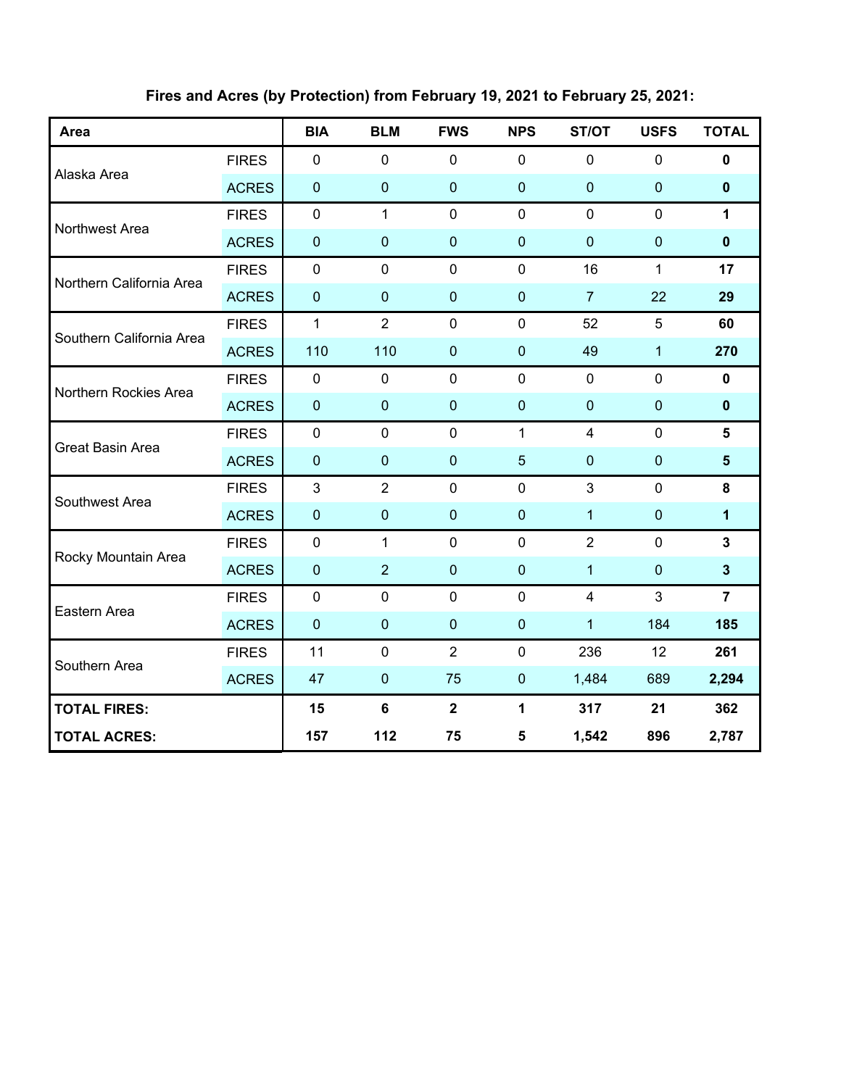| Area                     |              | <b>BIA</b>   | <b>BLM</b>     | <b>FWS</b>              | <b>NPS</b>              | ST/OT          | <b>USFS</b>  | <b>TOTAL</b>            |
|--------------------------|--------------|--------------|----------------|-------------------------|-------------------------|----------------|--------------|-------------------------|
|                          | <b>FIRES</b> | $\pmb{0}$    | $\mathbf 0$    | $\mathbf 0$             | $\mathbf 0$             | $\mathbf 0$    | $\pmb{0}$    | 0                       |
| Alaska Area              | <b>ACRES</b> | $\pmb{0}$    | $\mathbf 0$    | $\mathbf 0$             | $\mathbf 0$             | $\mathbf 0$    | $\mathbf 0$  | $\mathbf 0$             |
| Northwest Area           | <b>FIRES</b> | $\mathbf 0$  | $\mathbf{1}$   | $\mathbf 0$             | $\mathbf 0$             | $\mathbf 0$    | $\mathbf 0$  | $\mathbf{1}$            |
|                          | <b>ACRES</b> | $\pmb{0}$    | $\overline{0}$ | $\mathbf 0$             | $\mathbf 0$             | $\overline{0}$ | $\mathbf 0$  | $\mathbf{0}$            |
| Northern California Area | <b>FIRES</b> | $\mathbf 0$  | $\mathbf 0$    | $\mathbf 0$             | $\mathbf 0$             | 16             | $\mathbf{1}$ | 17                      |
|                          | <b>ACRES</b> | $\pmb{0}$    | $\mathbf 0$    | $\pmb{0}$               | $\bf 0$                 | $\overline{7}$ | 22           | 29                      |
| Southern California Area | <b>FIRES</b> | $\mathbf{1}$ | $\overline{2}$ | $\mathbf 0$             | $\mathbf 0$             | 52             | 5            | 60                      |
|                          | <b>ACRES</b> | 110          | 110            | $\mathbf 0$             | $\bf 0$                 | 49             | $\mathbf{1}$ | 270                     |
| Northern Rockies Area    | <b>FIRES</b> | $\pmb{0}$    | $\mathbf 0$    | $\mathbf 0$             | $\mathbf 0$             | $\mathbf 0$    | $\mathbf 0$  | $\mathbf 0$             |
|                          | <b>ACRES</b> | $\pmb{0}$    | $\mathbf 0$    | $\mathbf 0$             | $\mathbf 0$             | $\mathbf{0}$   | $\mathbf{0}$ | $\mathbf 0$             |
| Great Basin Area         | <b>FIRES</b> | $\pmb{0}$    | $\mathbf 0$    | $\mathbf 0$             | $\mathbf{1}$            | $\overline{4}$ | $\mathbf 0$  | 5                       |
|                          | <b>ACRES</b> | $\pmb{0}$    | $\mathbf 0$    | $\mathbf{0}$            | 5                       | $\mathbf 0$    | $\mathbf 0$  | $5\phantom{.}$          |
|                          | <b>FIRES</b> | 3            | $\overline{2}$ | $\mathbf 0$             | $\mathbf 0$             | $\mathbf{3}$   | $\mathbf 0$  | 8                       |
| Southwest Area           | <b>ACRES</b> | $\pmb{0}$    | $\mathbf 0$    | $\mathbf 0$             | $\boldsymbol{0}$        | 1              | $\pmb{0}$    | $\mathbf{1}$            |
|                          | <b>FIRES</b> | $\mathbf 0$  | 1              | $\mathbf 0$             | $\mathbf 0$             | $\overline{2}$ | $\mathbf 0$  | $\mathbf{3}$            |
| Rocky Mountain Area      | <b>ACRES</b> | $\pmb{0}$    | $\overline{2}$ | $\boldsymbol{0}$        | $\bf 0$                 | 1              | $\mathbf 0$  | $\overline{\mathbf{3}}$ |
| Eastern Area             | <b>FIRES</b> | $\pmb{0}$    | $\pmb{0}$      | $\mathbf 0$             | $\mathbf 0$             | $\overline{4}$ | 3            | $\overline{7}$          |
|                          | <b>ACRES</b> | $\pmb{0}$    | $\mathbf 0$    | $\boldsymbol{0}$        | $\mathbf 0$             | $\overline{1}$ | 184          | 185                     |
| Southern Area            | <b>FIRES</b> | 11           | $\mathbf 0$    | $\overline{2}$          | $\mathbf 0$             | 236            | 12           | 261                     |
|                          | <b>ACRES</b> | 47           | $\mathbf 0$    | 75                      | $\boldsymbol{0}$        | 1,484          | 689          | 2,294                   |
| <b>TOTAL FIRES:</b>      |              | 15           | $\bf 6$        | $\overline{\mathbf{2}}$ | $\mathbf{1}$            | 317            | 21           | 362                     |
| <b>TOTAL ACRES:</b>      |              | 157          | 112            | 75                      | $\overline{\mathbf{5}}$ | 1,542          | 896          | 2,787                   |

# **Fires and Acres (by Protection) from February 19, 2021 to February 25, 2021:**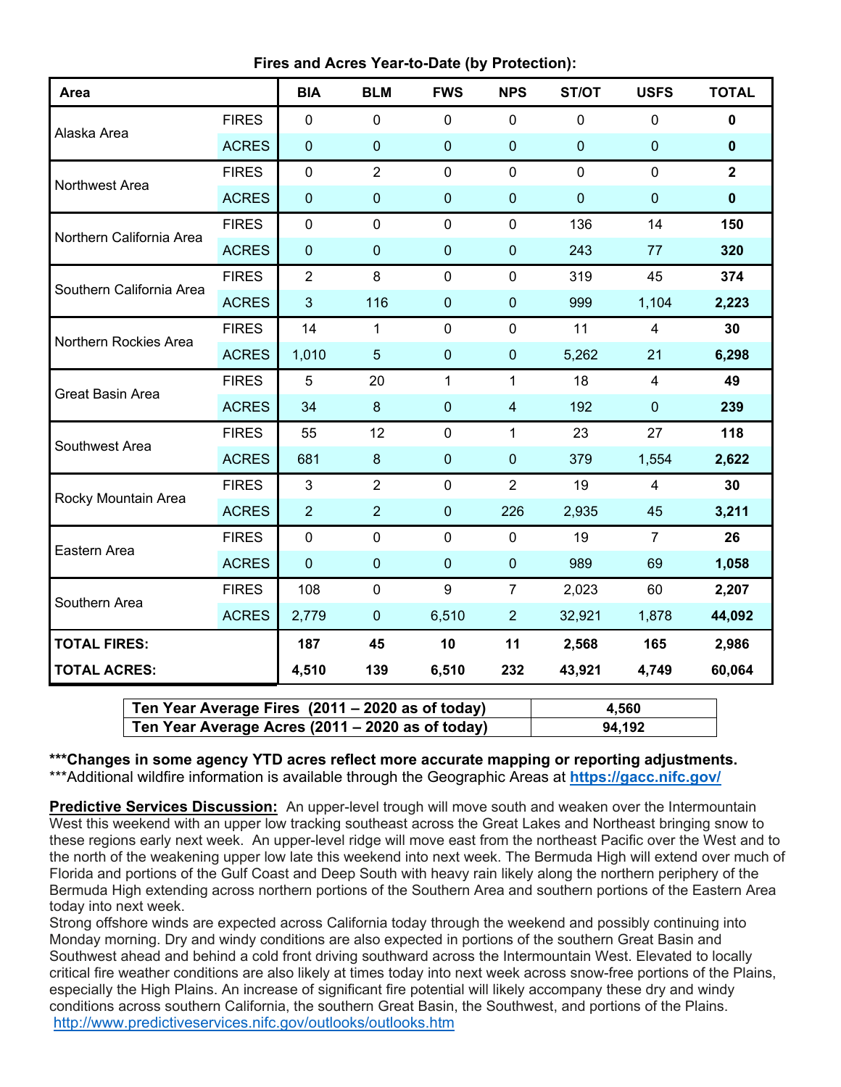**Fires and Acres Year-to-Date (by Protection):**

| Area                     |              | <b>BIA</b>     | <b>BLM</b>     | <b>FWS</b>       | <b>NPS</b>              | ST/OT        | <b>USFS</b>    | <b>TOTAL</b> |
|--------------------------|--------------|----------------|----------------|------------------|-------------------------|--------------|----------------|--------------|
|                          | <b>FIRES</b> | $\mathbf 0$    | $\mathbf 0$    | $\pmb{0}$        | $\mathbf 0$             | $\mathbf 0$  | $\mathbf 0$    | $\mathbf 0$  |
| Alaska Area              | <b>ACRES</b> | $\mathbf 0$    | $\pmb{0}$      | $\mathbf{0}$     | $\pmb{0}$               | $\mathbf 0$  | $\pmb{0}$      | $\pmb{0}$    |
| Northwest Area           | <b>FIRES</b> | $\mathbf 0$    | $\overline{2}$ | $\mathbf 0$      | $\mathbf 0$             | $\mathbf 0$  | $\mathbf 0$    | $\mathbf{2}$ |
|                          | <b>ACRES</b> | $\pmb{0}$      | $\pmb{0}$      | $\pmb{0}$        | $\mathbf 0$             | $\mathbf{0}$ | $\pmb{0}$      | $\pmb{0}$    |
| Northern California Area | <b>FIRES</b> | $\mathbf 0$    | $\mathbf 0$    | $\mathbf 0$      | $\pmb{0}$               | 136          | 14             | 150          |
|                          | <b>ACRES</b> | $\pmb{0}$      | $\mathbf 0$    | $\pmb{0}$        | $\mathbf 0$             | 243          | 77             | 320          |
| Southern California Area | <b>FIRES</b> | $\overline{2}$ | 8              | $\mathbf 0$      | $\mathbf 0$             | 319          | 45             | 374          |
|                          | <b>ACRES</b> | $\mathbf{3}$   | 116            | $\pmb{0}$        | $\pmb{0}$               | 999          | 1,104          | 2,223        |
| Northern Rockies Area    | <b>FIRES</b> | 14             | 1              | $\mathbf 0$      | $\mathbf 0$             | 11           | $\overline{4}$ | 30           |
|                          | <b>ACRES</b> | 1,010          | 5              | $\pmb{0}$        | $\pmb{0}$               | 5,262        | 21             | 6,298        |
| <b>Great Basin Area</b>  | <b>FIRES</b> | 5              | 20             | 1                | 1                       | 18           | 4              | 49           |
|                          | <b>ACRES</b> | 34             | $\bf 8$        | $\mathbf{0}$     | $\overline{\mathbf{4}}$ | 192          | $\pmb{0}$      | 239          |
| Southwest Area           | <b>FIRES</b> | 55             | 12             | $\mathbf 0$      | 1                       | 23           | 27             | 118          |
|                          | <b>ACRES</b> | 681            | $\bf 8$        | $\pmb{0}$        | $\pmb{0}$               | 379          | 1,554          | 2,622        |
| Rocky Mountain Area      | <b>FIRES</b> | $\mathfrak{S}$ | $\overline{2}$ | $\mathbf 0$      | $\overline{2}$          | 19           | $\overline{4}$ | 30           |
|                          | <b>ACRES</b> | $\overline{2}$ | $\overline{2}$ | $\pmb{0}$        | 226                     | 2,935        | 45             | 3,211        |
| Eastern Area             | <b>FIRES</b> | $\mathbf 0$    | $\mathbf 0$    | $\mathbf 0$      | $\mathbf 0$             | 19           | $\overline{7}$ | 26           |
|                          | <b>ACRES</b> | $\mathbf 0$    | $\pmb{0}$      | $\pmb{0}$        | $\mathbf 0$             | 989          | 69             | 1,058        |
| Southern Area            | <b>FIRES</b> | 108            | $\mathbf 0$    | $\boldsymbol{9}$ | $\overline{7}$          | 2,023        | 60             | 2,207        |
|                          | <b>ACRES</b> | 2,779          | $\pmb{0}$      | 6,510            | $\overline{2}$          | 32,921       | 1,878          | 44,092       |
| <b>TOTAL FIRES:</b>      |              | 187            | 45             | 10               | 11                      | 2,568        | 165            | 2,986        |
| <b>TOTAL ACRES:</b>      |              | 4,510          | 139            | 6,510            | 232                     | 43,921       | 4,749          | 60,064       |

| Ten Year Average Fires (2011 – 2020 as of today) | 4.560  |
|--------------------------------------------------|--------|
| Ten Year Average Acres (2011 – 2020 as of today) | 94,192 |

**\*\*\*Changes in some agency YTD acres reflect more accurate mapping or reporting adjustments.** \*\*\*Additional wildfire information is available through the Geographic Areas at **<https://gacc.nifc.gov/>**

**Predictive Services Discussion:** An upper-level trough will move south and weaken over the Intermountain West this weekend with an upper low tracking southeast across the Great Lakes and Northeast bringing snow to these regions early next week. An upper-level ridge will move east from the northeast Pacific over the West and to the north of the weakening upper low late this weekend into next week. The Bermuda High will extend over much of Florida and portions of the Gulf Coast and Deep South with heavy rain likely along the northern periphery of the Bermuda High extending across northern portions of the Southern Area and southern portions of the Eastern Area today into next week.

Strong offshore winds are expected across California today through the weekend and possibly continuing into Monday morning. Dry and windy conditions are also expected in portions of the southern Great Basin and Southwest ahead and behind a cold front driving southward across the Intermountain West. Elevated to locally critical fire weather conditions are also likely at times today into next week across snow-free portions of the Plains, especially the High Plains. An increase of significant fire potential will likely accompany these dry and windy conditions across southern California, the southern Great Basin, the Southwest, and portions of the Plains. <http://www.predictiveservices.nifc.gov/outlooks/outlooks.htm>